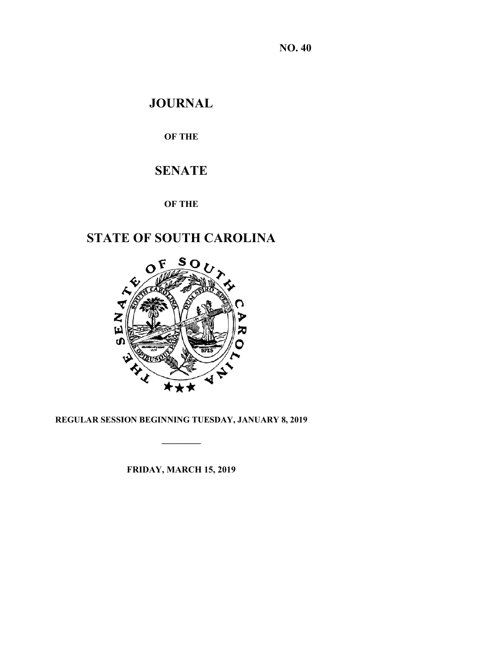**NO. 40**

# **JOURNAL**

**OF THE**

# **SENATE**

# **OF THE**

# **STATE OF SOUTH CAROLINA**



# **REGULAR SESSION BEGINNING TUESDAY, JANUARY 8, 2019**

**\_\_\_\_\_\_\_\_\_**

**FRIDAY, MARCH 15, 2019**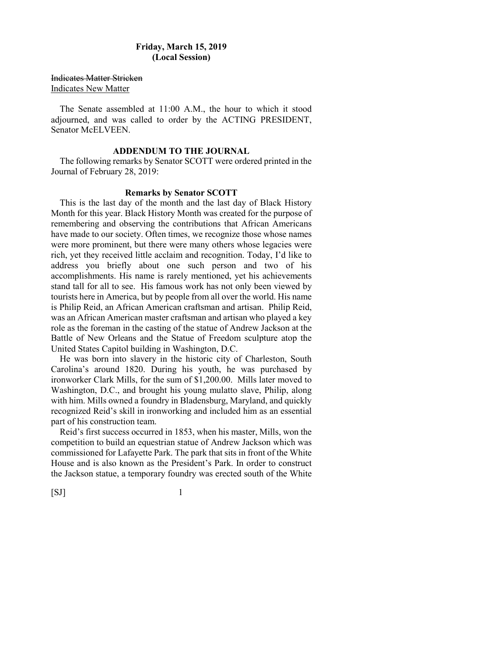# **Friday, March 15, 2019 (Local Session)**

Indicates Matter Stricken

Indicates New Matter

The Senate assembled at 11:00 A.M., the hour to which it stood adjourned, and was called to order by the ACTING PRESIDENT, Senator McELVEEN.

### **ADDENDUM TO THE JOURNAL**

The following remarks by Senator SCOTT were ordered printed in the Journal of February 28, 2019:

### **Remarks by Senator SCOTT**

This is the last day of the month and the last day of Black History Month for this year. Black History Month was created for the purpose of remembering and observing the contributions that African Americans have made to our society. Often times, we recognize those whose names were more prominent, but there were many others whose legacies were rich, yet they received little acclaim and recognition. Today, I'd like to address you briefly about one such person and two of his accomplishments. His name is rarely mentioned, yet his achievements stand tall for all to see. His famous work has not only been viewed by tourists here in America, but by people from all over the world. His name is Philip Reid, an African American craftsman and artisan. Philip Reid, was an African American master craftsman and artisan who played a key role as the foreman in the casting of the statue of Andrew Jackson at the Battle of New Orleans and the Statue of Freedom sculpture atop the United States Capitol building in Washington, D.C.

He was born into slavery in the historic city of Charleston, South Carolina's around 1820. During his youth, he was purchased by ironworker Clark Mills, for the sum of \$1,200.00. Mills later moved to Washington, D.C., and brought his young mulatto slave, Philip, along with him. Mills owned a foundry in Bladensburg, Maryland, and quickly recognized Reid's skill in ironworking and included him as an essential part of his construction team.

Reid's first success occurred in 1853, when his master, Mills, won the competition to build an equestrian statue of Andrew Jackson which was commissioned for Lafayette Park. The park that sits in front of the White House and is also known as the President's Park. In order to construct the Jackson statue, a temporary foundry was erected south of the White

 $[SJ]$  1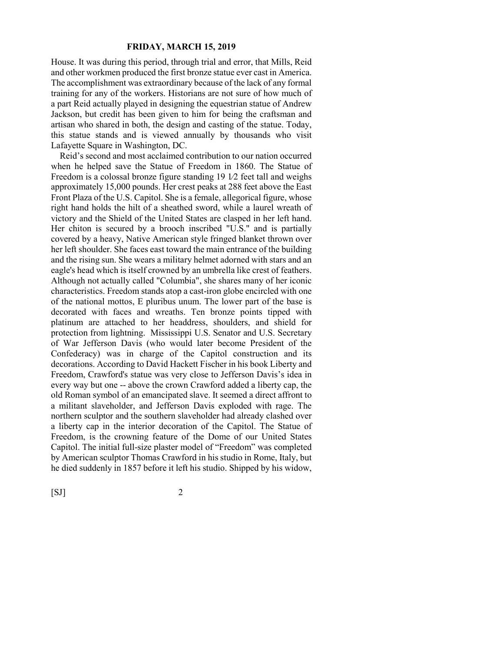House. It was during this period, through trial and error, that Mills, Reid and other workmen produced the first bronze statue ever cast in America. The accomplishment was extraordinary because of the lack of any formal training for any of the workers. Historians are not sure of how much of a part Reid actually played in designing the equestrian statue of Andrew Jackson, but credit has been given to him for being the craftsman and artisan who shared in both, the design and casting of the statue. Today, this statue stands and is viewed annually by thousands who visit Lafayette Square in Washington, DC.

Reid's second and most acclaimed contribution to our nation occurred when he helped save the Statue of Freedom in 1860. The Statue of Freedom is a colossal bronze figure standing 19 1⁄2 feet tall and weighs approximately 15,000 pounds. Her crest peaks at 288 feet above the East Front Plaza of the U.S. Capitol. She is a female, allegorical figure, whose right hand holds the hilt of a sheathed sword, while a laurel wreath of victory and the Shield of the United States are clasped in her left hand. Her chiton is secured by a brooch inscribed "U.S." and is partially covered by a heavy, Native American style fringed blanket thrown over her left shoulder. She faces east toward the main entrance of the building and the rising sun. She wears a military helmet adorned with stars and an eagle's head which is itself crowned by an umbrella like crest of feathers. Although not actually called "Columbia", she shares many of her iconic characteristics. Freedom stands atop a cast-iron globe encircled with one of the national mottos, E pluribus unum. The lower part of the base is decorated with faces and wreaths. Ten bronze points tipped with platinum are attached to her headdress, shoulders, and shield for protection from lightning. Mississippi U.S. Senator and U.S. Secretary of War Jefferson Davis (who would later become President of the Confederacy) was in charge of the Capitol construction and its decorations. According to David Hackett Fischer in his book Liberty and Freedom, Crawford's statue was very close to Jefferson Davis's idea in every way but one -- above the crown Crawford added a liberty cap, the old Roman symbol of an emancipated slave. It seemed a direct affront to a militant slaveholder, and Jefferson Davis exploded with rage. The northern sculptor and the southern slaveholder had already clashed over a liberty cap in the interior decoration of the Capitol. The Statue of Freedom, is the crowning feature of the Dome of our United States Capitol. The initial full-size plaster model of "Freedom" was completed by American sculptor Thomas Crawford in his studio in Rome, Italy, but he died suddenly in 1857 before it left his studio. Shipped by his widow,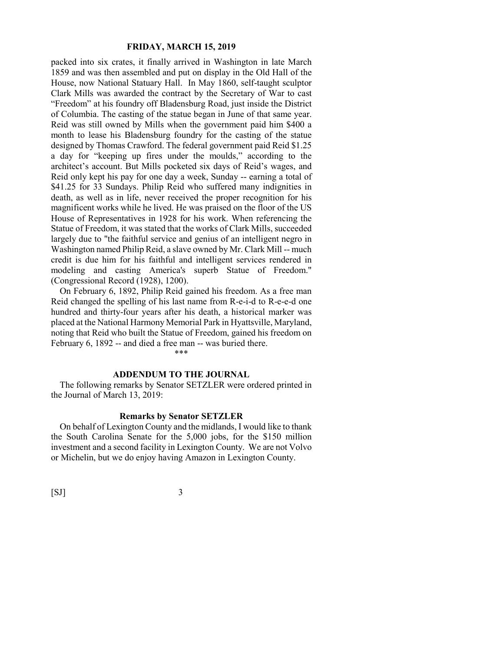packed into six crates, it finally arrived in Washington in late March 1859 and was then assembled and put on display in the Old Hall of the House, now National Statuary Hall. In May 1860, self-taught sculptor Clark Mills was awarded the contract by the Secretary of War to cast "Freedom" at his foundry off Bladensburg Road, just inside the District of Columbia. The casting of the statue began in June of that same year. Reid was still owned by Mills when the government paid him \$400 a month to lease his Bladensburg foundry for the casting of the statue designed by Thomas Crawford. The federal government paid Reid \$1.25 a day for "keeping up fires under the moulds," according to the architect's account. But Mills pocketed six days of Reid's wages, and Reid only kept his pay for one day a week, Sunday -- earning a total of \$41.25 for 33 Sundays. Philip Reid who suffered many indignities in death, as well as in life, never received the proper recognition for his magnificent works while he lived. He was praised on the floor of the US House of Representatives in 1928 for his work. When referencing the Statue of Freedom, it was stated that the works of Clark Mills, succeeded largely due to "the faithful service and genius of an intelligent negro in Washington named Philip Reid, a slave owned by Mr. Clark Mill -- much credit is due him for his faithful and intelligent services rendered in modeling and casting America's superb Statue of Freedom." (Congressional Record (1928), 1200).

On February 6, 1892, Philip Reid gained his freedom. As a free man Reid changed the spelling of his last name from R-e-i-d to R-e-e-d one hundred and thirty-four years after his death, a historical marker was placed at the National Harmony Memorial Park in Hyattsville, Maryland, noting that Reid who built the Statue of Freedom, gained his freedom on February 6, 1892 -- and died a free man -- was buried there.

#### **ADDENDUM TO THE JOURNAL**

\*\*\*

The following remarks by Senator SETZLER were ordered printed in the Journal of March 13, 2019:

# **Remarks by Senator SETZLER**

On behalf of Lexington County and the midlands, I would like to thank the South Carolina Senate for the 5,000 jobs, for the \$150 million investment and a second facility in Lexington County. We are not Volvo or Michelin, but we do enjoy having Amazon in Lexington County.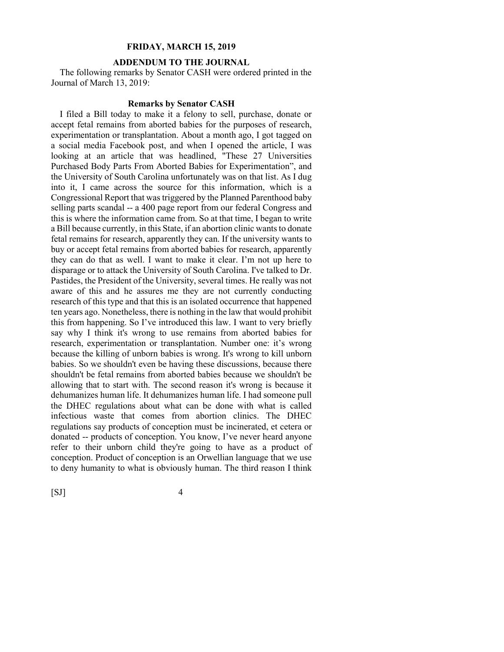#### **ADDENDUM TO THE JOURNAL**

The following remarks by Senator CASH were ordered printed in the Journal of March 13, 2019:

#### **Remarks by Senator CASH**

I filed a Bill today to make it a felony to sell, purchase, donate or accept fetal remains from aborted babies for the purposes of research, experimentation or transplantation. About a month ago, I got tagged on a social media Facebook post, and when I opened the article, I was looking at an article that was headlined, "These 27 Universities Purchased Body Parts From Aborted Babies for Experimentation", and the University of South Carolina unfortunately was on that list. As I dug into it, I came across the source for this information, which is a Congressional Report that was triggered by the Planned Parenthood baby selling parts scandal -- a 400 page report from our federal Congress and this is where the information came from. So at that time, I began to write a Bill because currently, in this State, if an abortion clinic wants to donate fetal remains for research, apparently they can. If the university wants to buy or accept fetal remains from aborted babies for research, apparently they can do that as well. I want to make it clear. I'm not up here to disparage or to attack the University of South Carolina. I've talked to Dr. Pastides, the President of the University, several times. He really was not aware of this and he assures me they are not currently conducting research of this type and that this is an isolated occurrence that happened ten years ago. Nonetheless, there is nothing in the law that would prohibit this from happening. So I've introduced this law. I want to very briefly say why I think it's wrong to use remains from aborted babies for research, experimentation or transplantation. Number one: it's wrong because the killing of unborn babies is wrong. It's wrong to kill unborn babies. So we shouldn't even be having these discussions, because there shouldn't be fetal remains from aborted babies because we shouldn't be allowing that to start with. The second reason it's wrong is because it dehumanizes human life. It dehumanizes human life. I had someone pull the DHEC regulations about what can be done with what is called infectious waste that comes from abortion clinics. The DHEC regulations say products of conception must be incinerated, et cetera or donated -- products of conception. You know, I've never heard anyone refer to their unborn child they're going to have as a product of conception. Product of conception is an Orwellian language that we use to deny humanity to what is obviously human. The third reason I think

 $[SJ]$  4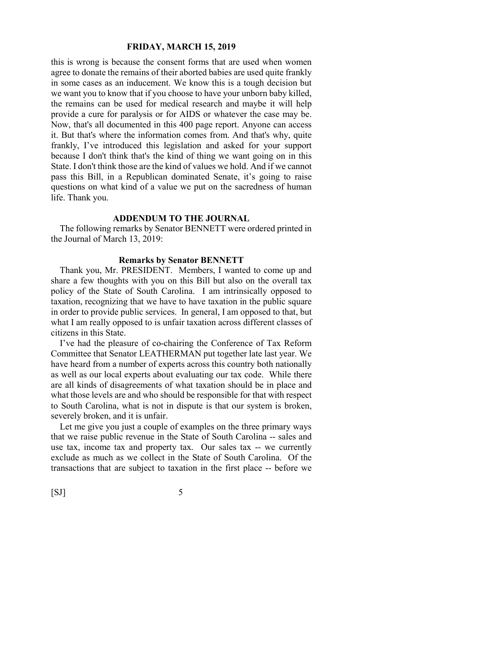this is wrong is because the consent forms that are used when women agree to donate the remains of their aborted babies are used quite frankly in some cases as an inducement. We know this is a tough decision but we want you to know that if you choose to have your unborn baby killed, the remains can be used for medical research and maybe it will help provide a cure for paralysis or for AIDS or whatever the case may be. Now, that's all documented in this 400 page report. Anyone can access it. But that's where the information comes from. And that's why, quite frankly, I've introduced this legislation and asked for your support because I don't think that's the kind of thing we want going on in this State. I don't think those are the kind of values we hold. And if we cannot pass this Bill, in a Republican dominated Senate, it's going to raise questions on what kind of a value we put on the sacredness of human life. Thank you.

# **ADDENDUM TO THE JOURNAL**

The following remarks by Senator BENNETT were ordered printed in the Journal of March 13, 2019:

#### **Remarks by Senator BENNETT**

Thank you, Mr. PRESIDENT. Members, I wanted to come up and share a few thoughts with you on this Bill but also on the overall tax policy of the State of South Carolina. I am intrinsically opposed to taxation, recognizing that we have to have taxation in the public square in order to provide public services. In general, I am opposed to that, but what I am really opposed to is unfair taxation across different classes of citizens in this State.

I've had the pleasure of co-chairing the Conference of Tax Reform Committee that Senator LEATHERMAN put together late last year. We have heard from a number of experts across this country both nationally as well as our local experts about evaluating our tax code. While there are all kinds of disagreements of what taxation should be in place and what those levels are and who should be responsible for that with respect to South Carolina, what is not in dispute is that our system is broken, severely broken, and it is unfair.

Let me give you just a couple of examples on the three primary ways that we raise public revenue in the State of South Carolina -- sales and use tax, income tax and property tax. Our sales tax -- we currently exclude as much as we collect in the State of South Carolina. Of the transactions that are subject to taxation in the first place -- before we

 $[SJ]$  5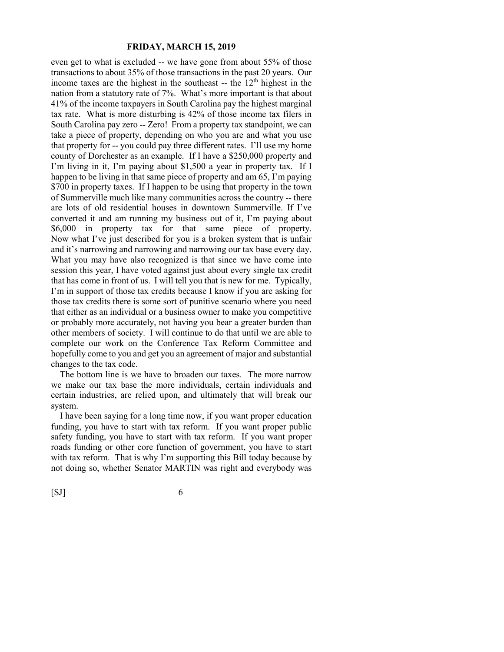even get to what is excluded -- we have gone from about 55% of those transactions to about 35% of those transactions in the past 20 years. Our income taxes are the highest in the southeast  $-$  the  $12<sup>th</sup>$  highest in the nation from a statutory rate of 7%. What's more important is that about 41% of the income taxpayers in South Carolina pay the highest marginal tax rate. What is more disturbing is 42% of those income tax filers in South Carolina pay zero -- Zero! From a property tax standpoint, we can take a piece of property, depending on who you are and what you use that property for -- you could pay three different rates. I'll use my home county of Dorchester as an example. If I have a \$250,000 property and I'm living in it, I'm paying about \$1,500 a year in property tax. If I happen to be living in that same piece of property and am 65, I'm paying \$700 in property taxes. If I happen to be using that property in the town of Summerville much like many communities across the country -- there are lots of old residential houses in downtown Summerville. If I've converted it and am running my business out of it, I'm paying about \$6,000 in property tax for that same piece of property. Now what I've just described for you is a broken system that is unfair and it's narrowing and narrowing and narrowing our tax base every day. What you may have also recognized is that since we have come into session this year, I have voted against just about every single tax credit that has come in front of us. I will tell you that is new for me. Typically, I'm in support of those tax credits because I know if you are asking for those tax credits there is some sort of punitive scenario where you need that either as an individual or a business owner to make you competitive or probably more accurately, not having you bear a greater burden than other members of society. I will continue to do that until we are able to complete our work on the Conference Tax Reform Committee and hopefully come to you and get you an agreement of major and substantial changes to the tax code.

The bottom line is we have to broaden our taxes. The more narrow we make our tax base the more individuals, certain individuals and certain industries, are relied upon, and ultimately that will break our system.

I have been saying for a long time now, if you want proper education funding, you have to start with tax reform. If you want proper public safety funding, you have to start with tax reform. If you want proper roads funding or other core function of government, you have to start with tax reform. That is why I'm supporting this Bill today because by not doing so, whether Senator MARTIN was right and everybody was